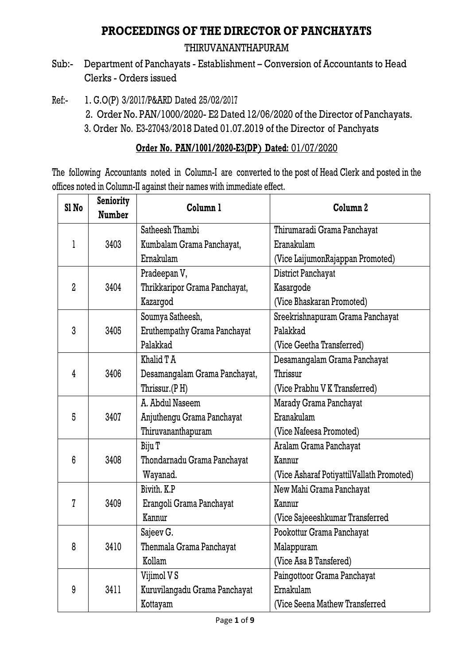## **PROCEEDINGS OF THE DIRECTOR OF PANCHAYATS**

## THIRUVANANTHAPURAM

- Sub:- Department of Panchayats Establishment Conversion of Accountants to Head Clerks - Orders issued
- Ref:- 1. G.O(P) 3/2017/P&ARD Dated 25/02/2017
	- 2. Order No. PAN/1000/2020- E2 Dated 12/06/2020 of the Director of Panchayats.
	- 3. Order No. E3-27043/2018 Dated 01.07.2019 of the Director of Panchyats

## **Order No. PAN/1001/2020-E3(DP**) **Dated:** 01/07/2020

The following Accountants noted in Column-I are converted to the post of Head Clerk and posted in the offices noted in Column-II against their names with immediate effect.

| Sl <sub>No</sub> | Seniority<br>Number | Column <sub>1</sub>           | Column <sub>2</sub>                       |
|------------------|---------------------|-------------------------------|-------------------------------------------|
|                  |                     | Satheesh Thambi               | Thirumaradi Grama Panchayat               |
| 1                | 3403                | Kumbalam Grama Panchayat,     | Eranakulam                                |
|                  |                     | Ernakulam                     | (Vice LaijumonRajappan Promoted)          |
|                  |                     | Pradeepan V,                  | District Panchayat                        |
| $\overline{2}$   | 3404                | Thrikkaripor Grama Panchayat, | Kasargode                                 |
|                  |                     | Kazargod                      | (Vice Bhaskaran Promoted)                 |
|                  |                     | Soumya Satheesh,              | Sreekrishnapuram Grama Panchayat          |
| 3                | 3405                | Eruthempathy Grama Panchayat  | Palakkad                                  |
|                  |                     | Palakkad                      | (Vice Geetha Transferred)                 |
|                  |                     | Khalid T A                    | Desamangalam Grama Panchayat              |
| 4                | 3406                | Desamangalam Grama Panchayat, | Thrissur                                  |
|                  |                     | Thrissur.(PH)                 | (Vice Prabhu V K Transferred)             |
|                  |                     | A. Abdul Naseem               | Marady Grama Panchayat                    |
| 5                | 3407                | Anjuthengu Grama Panchayat    | Eranakulam                                |
|                  |                     | Thiruvananthapuram            | (Vice Nafeesa Promoted)                   |
|                  |                     | Biju T                        | Aralam Grama Panchayat                    |
| 6                | 3408                | Thondarnadu Grama Panchayat   | Kannur                                    |
|                  |                     | Wayanad.                      | (Vice Asharaf PotiyattilVallath Promoted) |
|                  |                     | Bivith, K.P.                  | New Mahi Grama Panchayat                  |
| $\overline{7}$   | 3409                | Erangoli Grama Panchayat      | Kannur                                    |
|                  |                     | Kannur                        | (Vice Sajeeeshkumar Transferred           |
|                  |                     | Sajeev G.                     | Pookottur Grama Panchayat                 |
| 8                | 3410                | Thenmala Grama Panchayat      | Malappuram                                |
|                  |                     | Kollam                        | (Vice Asa B Tansfered)                    |
|                  |                     | Vijimol V S                   | Paingottoor Grama Panchayat               |
| 9                | 3411                | Kuruvilangadu Grama Panchayat | Ernakulam                                 |
|                  |                     | Kottayam                      | (Vice Seena Mathew Transferred            |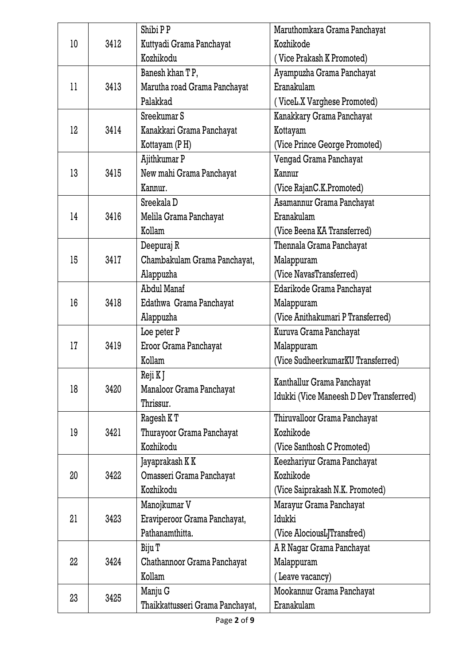|                 |      | Shibi PP                         | Maruthomkara Grama Panchayat            |
|-----------------|------|----------------------------------|-----------------------------------------|
| 10 <sup>°</sup> | 3412 | Kuttyadi Grama Panchayat         | Kozhikode                               |
|                 |      | Kozhikodu                        | (Vice Prakash K Promoted)               |
|                 |      | Banesh khan TP,                  | Ayampuzha Grama Panchayat               |
| 11              | 3413 | Marutha road Grama Panchayat     | Eranakulam                              |
|                 |      | Palakkad                         | (ViceL.X Varghese Promoted)             |
|                 |      | Sreekumar S                      | Kanakkary Grama Panchayat               |
| 12              | 3414 | Kanakkari Grama Panchayat        | Kottayam                                |
|                 |      | Kottayam (PH)                    | (Vice Prince George Promoted)           |
|                 |      | Ajithkumar P                     | Vengad Grama Panchayat                  |
| 13              | 3415 | New mahi Grama Panchayat         | Kannur                                  |
|                 |      | Kannur.                          | (Vice RajanC.K.Promoted)                |
|                 |      | Sreekala D                       | Asamannur Grama Panchayat               |
| 14              | 3416 | Melila Grama Panchayat           | Eranakulam                              |
|                 |      | Kollam                           | (Vice Beena KA Transferred)             |
|                 |      | Deepuraj R                       | Thennala Grama Panchayat                |
| 15              | 3417 | Chambakulam Grama Panchayat,     | Malappuram                              |
|                 |      | Alappuzha                        | (Vice NavasTransferred)                 |
|                 |      | Abdul Manaf                      | Edarikode Grama Panchayat               |
| 16              | 3418 | Edathwa Grama Panchayat          | Malappuram                              |
|                 |      | Alappuzha                        | (Vice Anithakumari P Transferred)       |
|                 |      | Loe peter P                      | Kuruva Grama Panchayat                  |
| 17              | 3419 | Eroor Grama Panchayat            | Malappuram                              |
|                 |      | Kollam                           | (Vice SudheerkumarKU Transferred)       |
|                 |      | Reji K J                         |                                         |
| 18              | 3420 | Manaloor Grama Panchayat         | Kanthallur Grama Panchayat              |
|                 |      | Thrissur.                        | Idukki (Vice Maneesh D Dev Transferred) |
|                 |      | Ragesh K T                       | Thiruvalloor Grama Panchayat            |
| 19              | 3421 | Thurayoor Grama Panchayat        | Kozhikode                               |
|                 |      | Kozhikodu                        | (Vice Santhosh C Promoted)              |
|                 |      | Jayaprakash K K                  | Keezhariyur Grama Panchayat             |
| 20              | 3422 | Omasseri Grama Panchayat         | Kozhikode                               |
|                 |      | Kozhikodu                        | (Vice Saiprakash N.K. Promoted)         |
|                 |      | Manojkumar V                     | Marayur Grama Panchayat                 |
| 21              | 3423 | Eraviperoor Grama Panchayat,     | Idukki                                  |
|                 |      | Pathanamthitta.                  | (Vice AlociousLJTransfred)              |
|                 |      | Biju T                           | A R Nagar Grama Panchayat               |
| 22              | 3424 | Chathannoor Grama Panchayat      | Malappuram                              |
|                 |      | Kollam                           | (Leave vacancy)                         |
| 23              | 3425 | Manju G                          | Mookannur Grama Panchayat               |
|                 |      | Thaikkattusseri Grama Panchayat, | Eranakulam                              |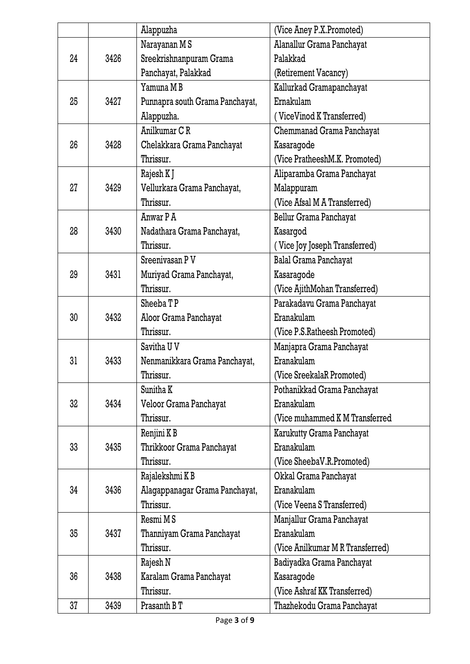|    |      | Alappuzha                       | (Vice Aney P.X.Promoted)         |
|----|------|---------------------------------|----------------------------------|
|    |      | Narayanan MS                    | Alanallur Grama Panchayat        |
| 24 | 3426 | Sreekrishnanpuram Grama         | Palakkad                         |
|    |      | Panchayat, Palakkad             | (Retirement Vacancy)             |
|    |      | Yamuna M B                      | Kallurkad Gramapanchayat         |
| 25 | 3427 | Punnapra south Grama Panchayat, | Ernakulam                        |
|    |      | Alappuzha.                      | (ViceVinod K Transferred)        |
|    |      | Anilkumar CR                    | Chemmanad Grama Panchayat        |
| 26 | 3428 | Chelakkara Grama Panchayat      | Kasaragode                       |
|    |      | Thrissur.                       | (Vice PratheeshM.K. Promoted)    |
|    |      | Rajesh K J                      | Aliparamba Grama Panchayat       |
| 27 | 3429 | Vellurkara Grama Panchayat,     | Malappuram                       |
|    |      | Thrissur.                       | (Vice Afsal M A Transferred)     |
|    |      | Anwar P A                       | Bellur Grama Panchayat           |
| 28 | 3430 | Nadathara Grama Panchayat,      | Kasargod                         |
|    |      | Thrissur.                       | (Vice Joy Joseph Transferred)    |
|    |      | Sreenivasan P V                 | <b>Balal Grama Panchayat</b>     |
| 29 | 3431 | Muriyad Grama Panchayat,        | Kasaragode                       |
|    |      | Thrissur.                       | (Vice AjithMohan Transferred)    |
|    |      | Sheeba TP                       | Parakadavu Grama Panchayat       |
| 30 | 3432 | Aloor Grama Panchayat           | Eranakulam                       |
|    |      | Thrissur.                       | (Vice P.S.Ratheesh Promoted)     |
|    |      | Savitha U V                     | Manjapra Grama Panchayat         |
| 31 | 3433 | Nenmanikkara Grama Panchayat,   | Eranakulam                       |
|    |      | Thrissur.                       | (Vice SreekalaR Promoted)        |
|    |      | Sunitha K                       | Pothanikkad Grama Panchayat      |
| 32 | 3434 | Veloor Grama Panchayat          | Eranakulam                       |
|    |      | Thrissur.                       | (Vice muhammed K M Transferred   |
|    |      | Renjini K B                     | Karukutty Grama Panchayat        |
| 33 | 3435 | Thrikkoor Grama Panchayat       | Eranakulam                       |
|    |      | Thrissur.                       | (Vice SheebaV.R.Promoted)        |
|    |      | Rajalekshmi K B                 | Okkal Grama Panchayat            |
| 34 | 3436 | Alagappanagar Grama Panchayat,  | Eranakulam                       |
|    |      | Thrissur.                       | (Vice Veena S Transferred)       |
|    |      | Resmi M S                       | Manjallur Grama Panchayat        |
| 35 | 3437 | Thanniyam Grama Panchayat       | Eranakulam                       |
|    |      | Thrissur.                       | (Vice Anilkumar M R Transferred) |
|    |      | Rajesh N                        | Badiyadka Grama Panchayat        |
| 36 | 3438 | Karalam Grama Panchayat         | Kasaragode                       |
|    |      | Thrissur.                       | (Vice Ashraf KK Transferred)     |
| 37 | 3439 | Prasanth B T                    | Thazhekodu Grama Panchayat       |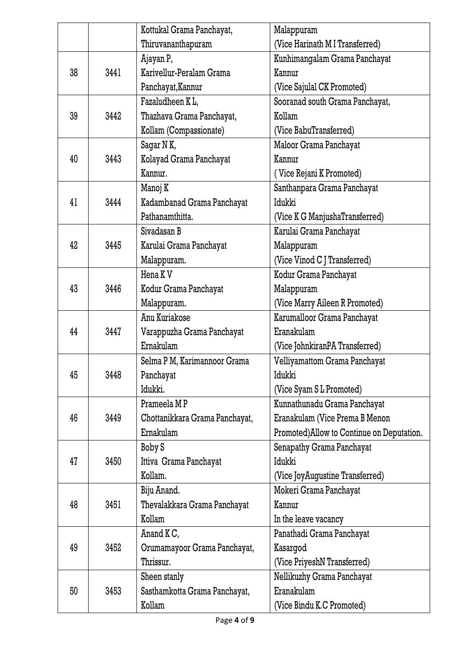|    |      | Kottukal Grama Panchayat,      | Malappuram                                |
|----|------|--------------------------------|-------------------------------------------|
|    |      | Thiruvananthapuram             | (Vice Harinath M I Transferred)           |
|    |      | Ajayan P,                      | Kunhimangalam Grama Panchayat             |
| 38 | 3441 | Karivellur-Peralam Grama       | Kannur                                    |
|    |      | Panchayat, Kannur              | (Vice Sajulal CK Promoted)                |
|    |      | Fazaludheen KL.                | Sooranad south Grama Panchayat,           |
| 39 | 3442 | Thazhava Grama Panchayat,      | Kollam                                    |
|    |      | Kollam (Compassionate)         | (Vice BabuTransferred)                    |
|    |      | Sagar N K,                     | Maloor Grama Panchayat                    |
| 40 | 3443 | Kolayad Grama Panchayat        | Kannur                                    |
|    |      | Kannur.                        | Vice Rejani K Promoted)                   |
|    |      | Manoj K                        | Santhanpara Grama Panchayat               |
| 41 | 3444 | Kadambanad Grama Panchayat     | Idukki                                    |
|    |      | Pathanamthitta.                | (Vice K G ManjushaTransferred)            |
|    |      | Sivadasan B                    | Karulai Grama Panchayat                   |
| 42 | 3445 | Karulai Grama Panchayat        | Malappuram                                |
|    |      | Malappuram.                    | (Vice Vinod C J Transferred)              |
|    |      | Hena K <sub>V</sub>            | Kodur Grama Panchayat                     |
| 43 | 3446 | Kodur Grama Panchayat          | Malappuram                                |
|    |      | Malappuram.                    | (Vice Marry Aileen R Promoted)            |
|    |      | Anu Kuriakose                  | Karumalloor Grama Panchayat               |
| 44 | 3447 | Varappuzha Grama Panchayat     | Eranakulam                                |
|    |      | Ernakulam                      | (Vice JohnkiranPA Transferred)            |
|    |      | Selma P M, Karimannoor Grama   | Velliyamattom Grama Panchayat             |
| 45 | 3448 | Panchayat                      | Idukki                                    |
|    |      | Idukki.                        | (Vice Syam S L Promoted)                  |
|    |      | Prameela MP                    | Kunnathunadu Grama Panchayat              |
| 46 | 3449 | Chottanikkara Grama Panchayat, | Eranakulam (Vice Prema B Menon            |
|    |      | Ernakulam                      | Promoted)Allow to Continue on Deputation. |
|    |      | Boby S                         | Senapathy Grama Panchayat                 |
| 47 | 3450 | Ittiva Grama Panchayat         | Idukki                                    |
|    |      | Kollam.                        | (Vice JoyAugustine Transferred)           |
|    |      | Biju Anand.                    | Mokeri Grama Panchayat                    |
| 48 | 3451 | Thevalakkara Grama Panchayat   | Kannur                                    |
|    |      | Kollam                         | In the leave vacancy                      |
|    |      | Anand K C,                     | Panathadi Grama Panchayat                 |
| 49 | 3452 | Orumamayoor Grama Panchayat,   | Kasargod                                  |
|    |      | Thrissur.                      | (Vice PriyeshN Transferred)               |
|    |      | Sheen stanly                   | Nellikuzhy Grama Panchayat                |
| 50 | 3453 | Sasthamkotta Grama Panchayat,  | Eranakulam                                |
|    |      | Kollam                         | (Vice Bindu K.C Promoted)                 |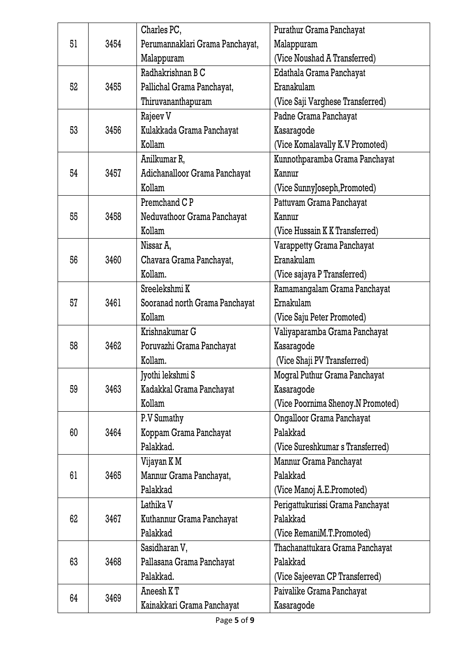|    |      | Charles PC,                     | Purathur Grama Panchayat          |
|----|------|---------------------------------|-----------------------------------|
| 51 | 3454 | Perumannaklari Grama Panchayat, | Malappuram                        |
|    |      | Malappuram                      | (Vice Noushad A Transferred)      |
|    |      | Radhakrishnan B C               | Edathala Grama Panchayat          |
| 52 | 3455 | Pallichal Grama Panchayat,      | Eranakulam                        |
|    |      | Thiruvananthapuram              | (Vice Saji Varghese Transferred)  |
|    |      | Rajeev V                        | Padne Grama Panchayat             |
| 53 | 3456 | Kulakkada Grama Panchayat       | Kasaragode                        |
|    |      | Kollam                          | (Vice Komalavally K.V Promoted)   |
|    |      | Anilkumar R,                    | Kunnothparamba Grama Panchayat    |
| 54 | 3457 | Adichanalloor Grama Panchayat   | Kannur                            |
|    |      | Kollam                          | (Vice SunnyJoseph, Promoted)      |
|    |      | Premchand C <sub>P</sub>        | Pattuvam Grama Panchayat          |
| 55 | 3458 | Neduvathoor Grama Panchayat     | Kannur                            |
|    |      | Kollam                          | (Vice Hussain K K Transferred)    |
|    |      | Nissar A,                       | Varappetty Grama Panchayat        |
| 56 | 3460 | Chavara Grama Panchayat,        | Eranakulam                        |
|    |      | Kollam.                         | (Vice sajaya P Transferred)       |
|    |      | Sreelekshmi K                   | Ramamangalam Grama Panchayat      |
| 57 | 3461 | Sooranad north Grama Panchayat  | Ernakulam                         |
|    |      | Kollam                          | (Vice Saju Peter Promoted)        |
|    |      | Krishnakumar G                  | Valiyaparamba Grama Panchayat     |
| 58 | 3462 | Poruvazhi Grama Panchayat       | Kasaragode                        |
|    |      | Kollam.                         | (Vice Shaji PV Transferred)       |
|    |      | Jyothi lekshmi S                | Mogral Puthur Grama Panchayat     |
| 59 | 3463 | Kadakkal Grama Panchayat        | Kasaragode                        |
|    |      | Kollam                          | (Vice Poornima Shenoy.N Promoted) |
|    |      | P.V Sumathy                     | Ongalloor Grama Panchayat         |
| 60 | 3464 | Koppam Grama Panchayat          | Palakkad                          |
|    |      | Palakkad.                       | (Vice Sureshkumar s Transferred)  |
|    |      | Vijayan K M                     | Mannur Grama Panchayat            |
| 61 | 3465 | Mannur Grama Panchayat,         | Palakkad                          |
|    |      | Palakkad                        | (Vice Manoj A.E.Promoted)         |
|    |      | Lathika V                       | Perigattukurissi Grama Panchayat  |
| 62 | 3467 | Kuthannur Grama Panchayat       | Palakkad                          |
|    |      | Palakkad                        | (Vice RemaniM.T.Promoted)         |
|    |      | Sasidharan V,                   | Thachanattukara Grama Panchayat   |
| 63 | 3468 | Pallasana Grama Panchayat       | Palakkad                          |
|    |      | Palakkad.                       | (Vice Sajeevan CP Transferred)    |
| 64 | 3469 | Aneesh K T                      | Paivalike Grama Panchayat         |
|    |      | Kainakkari Grama Panchayat      | Kasaragode                        |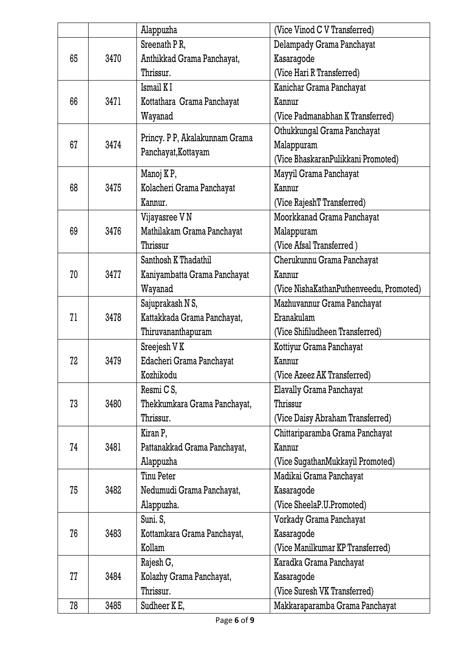|    |      | Alappuzha                      | (Vice Vinod C V Transferred)            |
|----|------|--------------------------------|-----------------------------------------|
|    |      | Sreenath PR,                   | Delampady Grama Panchayat               |
| 65 | 3470 | Anthikkad Grama Panchayat,     | Kasaragode                              |
|    |      | Thrissur.                      | (Vice Hari R Transferred)               |
|    |      | Ismail KI                      | Kanichar Grama Panchayat                |
| 66 | 3471 | Kottathara Grama Panchayat     | Kannur                                  |
|    |      | Wayanad                        | (Vice Padmanabhan K Transferred)        |
|    |      |                                | Othukkungal Grama Panchayat             |
| 67 | 3474 | Princy. P P, Akalakunnam Grama | Malappuram                              |
|    |      | Panchayat, Kottayam            | (Vice BhaskaranPulikkani Promoted)      |
|    |      | Manoj KP,                      | Mayyil Grama Panchayat                  |
| 68 | 3475 | Kolacheri Grama Panchayat      | Kannur                                  |
|    |      | Kannur.                        | (Vice RajeshT Transferred)              |
|    |      | Vijayasree V N                 | Moorkkanad Grama Panchayat              |
| 69 | 3476 | Mathilakam Grama Panchayat     | Malappuram                              |
|    |      | Thrissur                       | (Vice Afsal Transferred)                |
|    |      | Santhosh K Thadathil           | Cherukunnu Grama Panchayat              |
| 70 | 3477 | Kaniyambatta Grama Panchayat   | Kannur                                  |
|    |      | Wayanad                        | (Vice NishaKathanPuthenveedu, Promoted) |
|    |      | Sajuprakash N S,               | Mazhuvannur Grama Panchayat             |
| 71 | 3478 | Kattakkada Grama Panchayat,    | Eranakulam                              |
|    |      | Thiruvananthapuram             | (Vice Shifiludheen Transferred)         |
|    |      | Sreejesh V K                   | Kottiyur Grama Panchayat                |
| 72 | 3479 | Edacheri Grama Panchayat       | Kannur                                  |
|    |      | Kozhikodu                      | (Vice Azeez AK Transferred)             |
|    |      | Resmi C S,                     | Elavally Grama Panchayat                |
| 73 | 3480 | Thekkumkara Grama Panchayat,   | Thrissur                                |
|    |      | Thrissur.                      | (Vice Daisy Abraham Transferred)        |
|    |      | Kiran P,                       | Chittariparamba Grama Panchayat         |
| 74 | 3481 | Pattanakkad Grama Panchayat,   | Kannur                                  |
|    |      | Alappuzha                      | (Vice SugathanMukkayil Promoted)        |
|    |      | Tinu Peter                     | Madikai Grama Panchayat                 |
| 75 | 3482 | Nedumudi Grama Panchayat,      | Kasaragode                              |
|    |      | Alappuzha.                     | (Vice SheelaP.U.Promoted)               |
|    |      | Suni. S,                       | Vorkady Grama Panchayat                 |
| 76 | 3483 | Kottamkara Grama Panchayat,    | Kasaragode                              |
|    |      | Kollam                         | (Vice Manilkumar KP Transferred)        |
|    |      | Rajesh G,                      | Karadka Grama Panchayat                 |
| 77 | 3484 | Kolazhy Grama Panchayat,       | Kasaragode                              |
|    |      | Thrissur.                      | (Vice Suresh VK Transferred)            |
| 78 | 3485 | Sudheer K E,                   | Makkaraparamba Grama Panchayat          |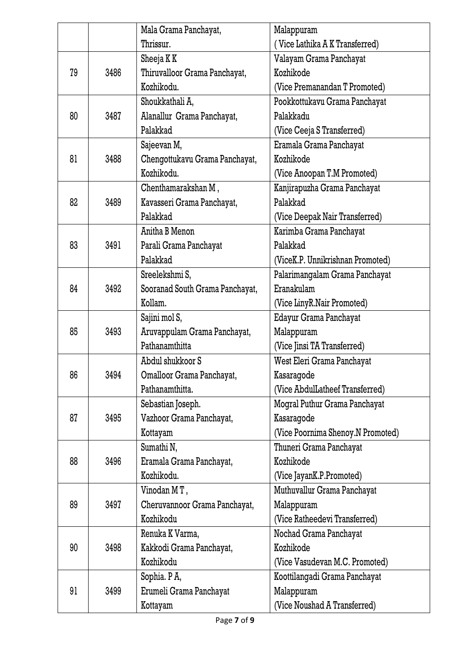|    |      | Mala Grama Panchayat,           | Malappuram                        |
|----|------|---------------------------------|-----------------------------------|
|    |      | Thrissur.                       | (Vice Lathika A K Transferred)    |
|    |      | Sheeja K K                      | Valayam Grama Panchayat           |
| 79 | 3486 | Thiruvalloor Grama Panchayat,   | Kozhikode                         |
|    |      | Kozhikodu.                      | (Vice Premanandan T Promoted)     |
|    |      | Shoukkathali A,                 | Pookkottukavu Grama Panchayat     |
| 80 | 3487 | Alanallur Grama Panchayat,      | Palakkadu                         |
|    |      | Palakkad                        | (Vice Ceeja S Transferred)        |
|    |      | Sajeevan M,                     | Eramala Grama Panchayat           |
| 81 | 3488 | Chengottukavu Grama Panchayat,  | Kozhikode                         |
|    |      | Kozhikodu.                      | (Vice Anoopan T.M Promoted)       |
|    |      | Chenthamarakshan M,             | Kanjirapuzha Grama Panchayat      |
| 82 | 3489 | Kavasseri Grama Panchayat,      | Palakkad                          |
|    |      | Palakkad                        | (Vice Deepak Nair Transferred)    |
|    |      | Anitha B Menon                  | Karimba Grama Panchayat           |
| 83 | 3491 | Parali Grama Panchayat          | Palakkad                          |
|    |      | Palakkad                        | (ViceK.P. Unnikrishnan Promoted)  |
|    |      | Sreelekshmi S,                  | Palarimangalam Grama Panchayat    |
| 84 | 3492 | Sooranad South Grama Panchayat, | Eranakulam                        |
|    |      | Kollam.                         | (Vice LinyR.Nair Promoted)        |
|    |      | Sajini mol S,                   | Edayur Grama Panchayat            |
| 85 | 3493 | Aruvappulam Grama Panchayat,    | Malappuram                        |
|    |      | Pathanamthitta                  | (Vice Jinsi TA Transferred)       |
|    |      | Abdul shukkoor S                | West Eleri Grama Panchayat        |
| 86 | 3494 | Omalloor Grama Panchayat,       | Kasaragode                        |
|    |      | Pathanamthitta.                 | (Vice AbdulLatheef Transferred)   |
|    |      | Sebastian Joseph.               | Mogral Puthur Grama Panchayat     |
| 87 | 3495 | Vazhoor Grama Panchayat,        | Kasaragode                        |
|    |      | Kottayam                        | (Vice Poornima Shenoy.N Promoted) |
|    |      | Sumathi N,                      | Thuneri Grama Panchayat           |
| 88 | 3496 | Eramala Grama Panchayat,        | Kozhikode                         |
|    |      | Kozhikodu.                      | (Vice JayanK.P.Promoted)          |
|    |      | Vinodan MT,                     | Muthuvallur Grama Panchayat       |
| 89 | 3497 | Cheruvannoor Grama Panchayat,   | Malappuram                        |
|    |      | Kozhikodu                       | (Vice Ratheedevi Transferred)     |
|    |      | Renuka K Varma,                 | Nochad Grama Panchayat            |
| 90 | 3498 | Kakkodi Grama Panchayat,        | Kozhikode                         |
|    |      | Kozhikodu                       | (Vice Vasudevan M.C. Promoted)    |
|    |      | Sophia. PA,                     | Koottilangadi Grama Panchayat     |
| 91 | 3499 | Erumeli Grama Panchayat         | Malappuram                        |
|    |      | Kottayam                        | (Vice Noushad A Transferred)      |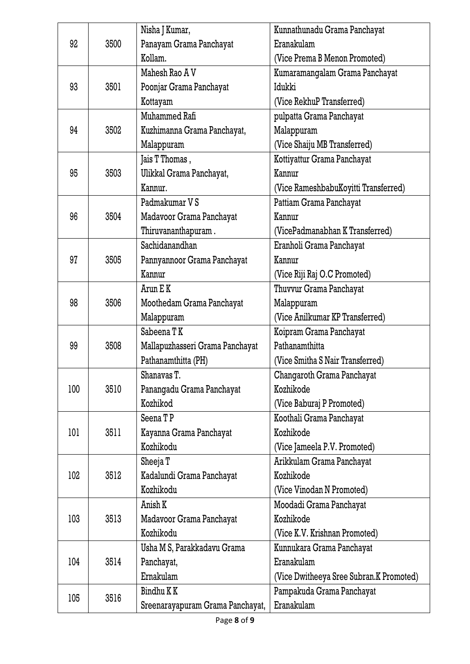|     |      | Nisha J Kumar,                   | Kunnathunadu Grama Panchayat            |
|-----|------|----------------------------------|-----------------------------------------|
| 92  | 3500 | Panayam Grama Panchayat          | Eranakulam                              |
|     |      | Kollam.                          | (Vice Prema B Menon Promoted)           |
|     |      | Mahesh Rao A V                   | Kumaramangalam Grama Panchayat          |
| 93  | 3501 | Poonjar Grama Panchayat          | Idukki                                  |
|     |      | Kottayam                         | (Vice RekhuP Transferred)               |
|     |      | Muhammed Rafi                    | pulpatta Grama Panchayat                |
| 94  | 3502 | Kuzhimanna Grama Panchayat,      | Malappuram                              |
|     |      | Malappuram                       | (Vice Shaiju MB Transferred)            |
|     |      | Jais T Thomas ,                  | Kottiyattur Grama Panchayat             |
| 95  | 3503 | Ulikkal Grama Panchayat,         | Kannur                                  |
|     |      | Kannur.                          | (Vice RameshbabuKoyitti Transferred)    |
|     |      | Padmakumar V S                   | Pattiam Grama Panchayat                 |
| 96  | 3504 | Madavoor Grama Panchayat         | Kannur                                  |
|     |      | Thiruvananthapuram.              | (VicePadmanabhan K Transferred)         |
|     |      | Sachidanandhan                   | Eranholi Grama Panchayat                |
| 97  | 3505 | Pannyannoor Grama Panchayat      | Kannur                                  |
|     |      | Kannur                           | (Vice Riji Raj O.C Promoted)            |
|     |      | Arun E K                         | Thuvvur Grama Panchayat                 |
| 98  | 3506 | Moothedam Grama Panchayat        | Malappuram                              |
|     |      | Malappuram                       | (Vice Anilkumar KP Transferred)         |
| 99  | 3508 | Sabeena TK                       | Koipram Grama Panchayat                 |
|     |      | Mallapuzhasseri Grama Panchayat  | Pathanamthitta                          |
|     |      | Pathanamthitta (PH)              | (Vice Smitha S Nair Transferred)        |
|     |      | Shanavas T.                      | Changaroth Grama Panchayat              |
| 100 | 3510 | Panangadu Grama Panchayat        | Kozhikode                               |
|     |      | Kozhikod                         | (Vice Baburaj P Promoted)               |
|     |      | Seena TP                         | Koothali Grama Panchayat                |
| 101 | 3511 | Kayanna Grama Panchayat          | Kozhikode                               |
|     |      | Kozhikodu                        | (Vice Jameela P.V. Promoted)            |
|     |      | Sheeja T                         | Arikkulam Grama Panchayat               |
| 102 | 3512 | Kadalundi Grama Panchayat        | Kozhikode                               |
|     |      | Kozhikodu                        | (Vice Vinodan N Promoted)               |
|     |      | Anish K                          | Moodadi Grama Panchayat                 |
| 103 | 3513 | Madavoor Grama Panchayat         | Kozhikode                               |
|     |      | Kozhikodu                        | (Vice K.V. Krishnan Promoted)           |
|     |      | Usha M S, Parakkadavu Grama      | Kunnukara Grama Panchayat               |
| 104 | 3514 | Panchayat,                       | Eranakulam                              |
|     |      | Ernakulam                        | (Vice Dwitheeya Sree Subran.K Promoted) |
| 105 | 3516 | Bindhu K K                       | Pampakuda Grama Panchayat               |
|     |      | Sreenarayapuram Grama Panchayat, | Eranakulam                              |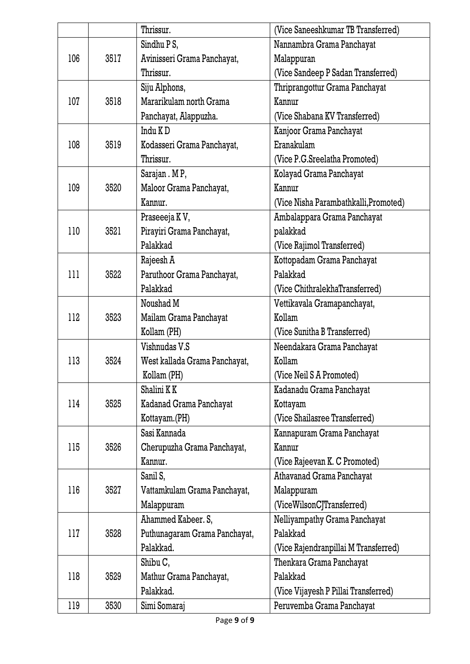|     |      | Thrissur.                     | (Vice Saneeshkumar TB Transferred)    |
|-----|------|-------------------------------|---------------------------------------|
|     |      | Sindhu P S,                   | Nannambra Grama Panchayat             |
| 106 | 3517 | Avinisseri Grama Panchayat,   | Malappuran                            |
|     |      | Thrissur.                     | (Vice Sandeep P Sadan Transferred)    |
|     |      | Siju Alphons,                 | Thriprangottur Grama Panchayat        |
| 107 | 3518 | Mararikulam north Grama       | Kannur                                |
|     |      | Panchayat, Alappuzha.         | (Vice Shabana KV Transferred)         |
|     |      | Indu KD                       | Kanjoor Grama Panchayat               |
| 108 | 3519 | Kodasseri Grama Panchayat,    | Eranakulam                            |
|     |      | Thrissur.                     | (Vice P.G.Sreelatha Promoted)         |
|     |      | Sarajan . M P,                | Kolayad Grama Panchayat               |
| 109 | 3520 | Maloor Grama Panchayat,       | Kannur                                |
|     |      | Kannur.                       | (Vice Nisha Parambathkalli, Promoted) |
|     |      | Praseeeja KV,                 | Ambalappara Grama Panchayat           |
| 110 | 3521 | Pirayiri Grama Panchayat,     | palakkad                              |
|     |      | Palakkad                      | (Vice Rajimol Transferred)            |
|     |      | Rajeesh A                     | Kottopadam Grama Panchayat            |
| 111 | 3522 | Paruthoor Grama Panchayat,    | Palakkad                              |
|     |      | Palakkad                      | (Vice ChithralekhaTransferred)        |
|     |      | Noushad M                     | Vettikavala Gramapanchayat,           |
| 112 | 3523 | Mailam Grama Panchayat        | Kollam                                |
|     |      | Kollam (PH)                   | (Vice Sunitha B Transferred)          |
|     |      | Vishnudas V.S                 | Neendakara Grama Panchayat            |
| 113 | 3524 | West kallada Grama Panchayat, | Kollam                                |
|     |      | Kollam (PH)                   | (Vice Neil S A Promoted)              |
|     |      | Shalini KK                    | Kadanadu Grama Panchayat              |
| 114 | 3525 | Kadanad Grama Panchayat       | Kottayam                              |
|     |      | Kottayam.(PH)                 | (Vice Shailasree Transferred)         |
|     |      | Sasi Kannada                  | Kannapuram Grama Panchayat            |
| 115 | 3526 | Cherupuzha Grama Panchayat,   | Kannur                                |
|     |      | Kannur.                       | (Vice Rajeevan K. C Promoted)         |
|     |      | Sanil S,                      | Athavanad Grama Panchayat             |
| 116 | 3527 | Vattamkulam Grama Panchayat,  | Malappuram                            |
|     |      | Malappuram                    | (ViceWilsonCJTransferred)             |
|     |      | Ahammed Kabeer. S,            | Nelliyampathy Grama Panchayat         |
| 117 | 3528 | Puthunagaram Grama Panchayat, | Palakkad                              |
|     |      | Palakkad.                     | (Vice Rajendranpillai M Transferred)  |
|     |      | Shibu C,                      | Thenkara Grama Panchayat              |
| 118 | 3529 | Mathur Grama Panchayat,       | Palakkad                              |
|     |      | Palakkad.                     | (Vice Vijayesh P Pillai Transferred)  |
| 119 | 3530 | Simi Somaraj                  | Peruvemba Grama Panchayat             |